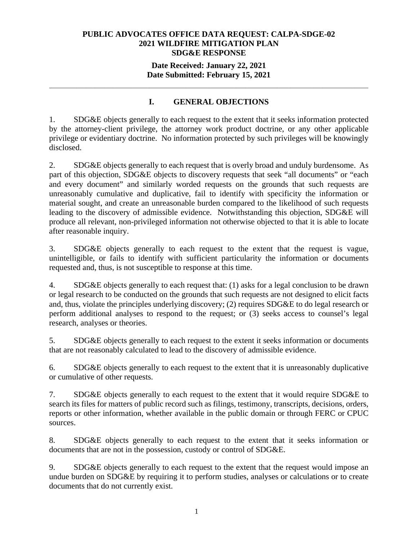## **Date Received: January 22, 2021 Date Submitted: February 15, 2021**

**\_\_\_\_\_\_\_\_\_\_\_\_\_\_\_\_\_\_\_\_\_\_\_\_\_\_\_\_\_\_\_\_\_\_\_\_\_\_\_\_\_\_\_\_\_\_\_\_\_\_\_\_\_\_\_\_\_\_\_\_\_\_\_\_\_\_\_\_\_\_** 

# **I. GENERAL OBJECTIONS**

1. SDG&E objects generally to each request to the extent that it seeks information protected by the attorney-client privilege, the attorney work product doctrine, or any other applicable privilege or evidentiary doctrine. No information protected by such privileges will be knowingly disclosed.

2. SDG&E objects generally to each request that is overly broad and unduly burdensome. As part of this objection, SDG&E objects to discovery requests that seek "all documents" or "each and every document" and similarly worded requests on the grounds that such requests are unreasonably cumulative and duplicative, fail to identify with specificity the information or material sought, and create an unreasonable burden compared to the likelihood of such requests leading to the discovery of admissible evidence. Notwithstanding this objection, SDG&E will produce all relevant, non-privileged information not otherwise objected to that it is able to locate after reasonable inquiry.

3. SDG&E objects generally to each request to the extent that the request is vague, unintelligible, or fails to identify with sufficient particularity the information or documents requested and, thus, is not susceptible to response at this time.

4. SDG&E objects generally to each request that: (1) asks for a legal conclusion to be drawn or legal research to be conducted on the grounds that such requests are not designed to elicit facts and, thus, violate the principles underlying discovery; (2) requires SDG&E to do legal research or perform additional analyses to respond to the request; or (3) seeks access to counsel's legal research, analyses or theories.

5. SDG&E objects generally to each request to the extent it seeks information or documents that are not reasonably calculated to lead to the discovery of admissible evidence.

6. SDG&E objects generally to each request to the extent that it is unreasonably duplicative or cumulative of other requests.

7. SDG&E objects generally to each request to the extent that it would require SDG&E to search its files for matters of public record such as filings, testimony, transcripts, decisions, orders, reports or other information, whether available in the public domain or through FERC or CPUC sources.

8. SDG&E objects generally to each request to the extent that it seeks information or documents that are not in the possession, custody or control of SDG&E.

9. SDG&E objects generally to each request to the extent that the request would impose an undue burden on SDG&E by requiring it to perform studies, analyses or calculations or to create documents that do not currently exist.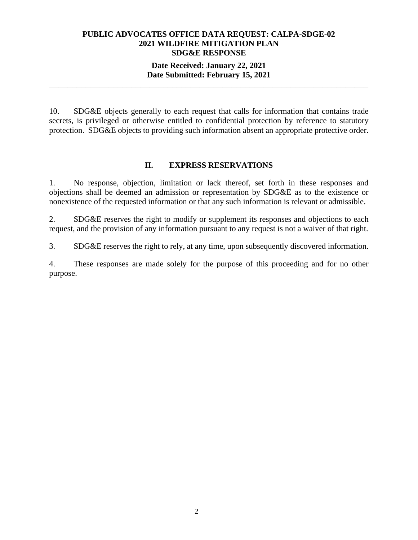### **Date Received: January 22, 2021 Date Submitted: February 15, 2021**

**\_\_\_\_\_\_\_\_\_\_\_\_\_\_\_\_\_\_\_\_\_\_\_\_\_\_\_\_\_\_\_\_\_\_\_\_\_\_\_\_\_\_\_\_\_\_\_\_\_\_\_\_\_\_\_\_\_\_\_\_\_\_\_\_\_\_\_\_\_\_** 

10. SDG&E objects generally to each request that calls for information that contains trade secrets, is privileged or otherwise entitled to confidential protection by reference to statutory protection. SDG&E objects to providing such information absent an appropriate protective order.

### **II. EXPRESS RESERVATIONS**

1. No response, objection, limitation or lack thereof, set forth in these responses and objections shall be deemed an admission or representation by SDG&E as to the existence or nonexistence of the requested information or that any such information is relevant or admissible.

2. SDG&E reserves the right to modify or supplement its responses and objections to each request, and the provision of any information pursuant to any request is not a waiver of that right.

3. SDG&E reserves the right to rely, at any time, upon subsequently discovered information.

4. These responses are made solely for the purpose of this proceeding and for no other purpose.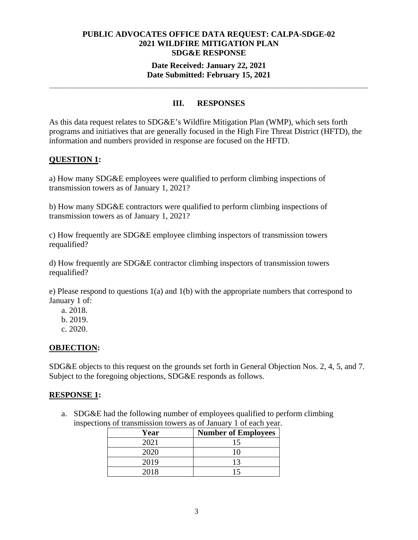#### **Date Received: January 22, 2021 Date Submitted: February 15, 2021**

**\_\_\_\_\_\_\_\_\_\_\_\_\_\_\_\_\_\_\_\_\_\_\_\_\_\_\_\_\_\_\_\_\_\_\_\_\_\_\_\_\_\_\_\_\_\_\_\_\_\_\_\_\_\_\_\_\_\_\_\_\_\_\_\_\_\_\_\_\_\_** 

## **III. RESPONSES**

As this data request relates to SDG&E's Wildfire Mitigation Plan (WMP), which sets forth programs and initiatives that are generally focused in the High Fire Threat District (HFTD), the information and numbers provided in response are focused on the HFTD.

## **QUESTION 1:**

a) How many SDG&E employees were qualified to perform climbing inspections of transmission towers as of January 1, 2021?

b) How many SDG&E contractors were qualified to perform climbing inspections of transmission towers as of January 1, 2021?

c) How frequently are SDG&E employee climbing inspectors of transmission towers requalified?

d) How frequently are SDG&E contractor climbing inspectors of transmission towers requalified?

e) Please respond to questions 1(a) and 1(b) with the appropriate numbers that correspond to January 1 of:

- a. 2018.
- b. 2019.
- c. 2020.

## **OBJECTION:**

SDG&E objects to this request on the grounds set forth in General Objection Nos. 2, 4, 5, and 7. Subject to the foregoing objections, SDG&E responds as follows.

#### **RESPONSE 1:**

a. SDG&E had the following number of employees qualified to perform climbing inspections of transmission towers as of January 1 of each year.

| Year | <b>Number of Employees</b> |
|------|----------------------------|
| 2021 |                            |
| 2020 |                            |
| 2019 | 13                         |
| 2018 |                            |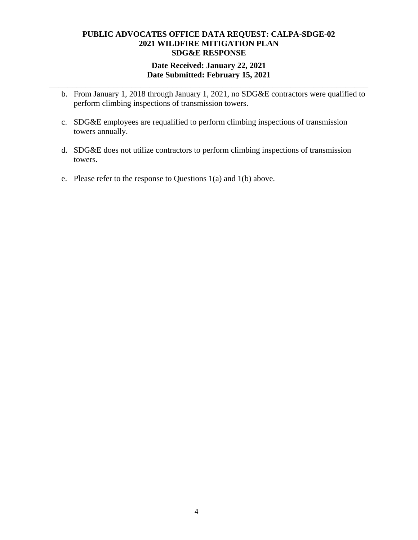## **Date Received: January 22, 2021 Date Submitted: February 15, 2021**

**\_\_\_\_\_\_\_\_\_\_\_\_\_\_\_\_\_\_\_\_\_\_\_\_\_\_\_\_\_\_\_\_\_\_\_\_\_\_\_\_\_\_\_\_\_\_\_\_\_\_\_\_\_\_\_\_\_\_\_\_\_\_\_\_\_\_\_\_\_\_** 

- b. From January 1, 2018 through January 1, 2021, no SDG&E contractors were qualified to perform climbing inspections of transmission towers.
- c. SDG&E employees are requalified to perform climbing inspections of transmission towers annually.
- d. SDG&E does not utilize contractors to perform climbing inspections of transmission towers.
- e. Please refer to the response to Questions 1(a) and 1(b) above.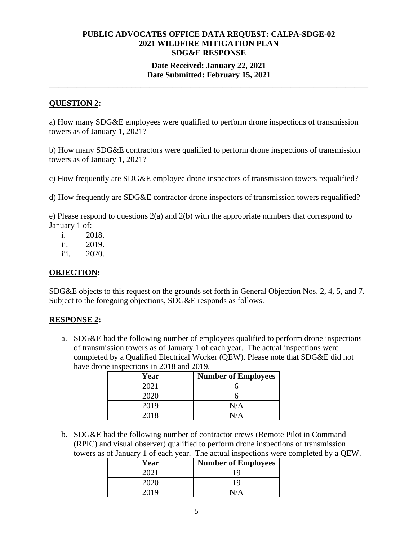## **Date Received: January 22, 2021 Date Submitted: February 15, 2021**

**\_\_\_\_\_\_\_\_\_\_\_\_\_\_\_\_\_\_\_\_\_\_\_\_\_\_\_\_\_\_\_\_\_\_\_\_\_\_\_\_\_\_\_\_\_\_\_\_\_\_\_\_\_\_\_\_\_\_\_\_\_\_\_\_\_\_\_\_\_\_** 

# **QUESTION 2:**

a) How many SDG&E employees were qualified to perform drone inspections of transmission towers as of January 1, 2021?

b) How many SDG&E contractors were qualified to perform drone inspections of transmission towers as of January 1, 2021?

c) How frequently are SDG&E employee drone inspectors of transmission towers requalified?

d) How frequently are SDG&E contractor drone inspectors of transmission towers requalified?

e) Please respond to questions 2(a) and 2(b) with the appropriate numbers that correspond to January 1 of:

i. 2018.

ii. 2019.

iii. 2020.

## **OBJECTION:**

SDG&E objects to this request on the grounds set forth in General Objection Nos. 2, 4, 5, and 7. Subject to the foregoing objections, SDG&E responds as follows.

## **RESPONSE 2:**

a. SDG&E had the following number of employees qualified to perform drone inspections of transmission towers as of January 1 of each year. The actual inspections were completed by a Qualified Electrical Worker (QEW). Please note that SDG&E did not have drone inspections in 2018 and 2019.

| Year | <b>Number of Employees</b> |
|------|----------------------------|
| 2021 |                            |
| 2020 |                            |
| 2019 | N/A                        |
| 2018 | N/A                        |

b. SDG&E had the following number of contractor crews (Remote Pilot in Command (RPIC) and visual observer) qualified to perform drone inspections of transmission towers as of January 1 of each year. The actual inspections were completed by a QEW.

| Year | <b>Number of Employees</b> |
|------|----------------------------|
| 2021 | 1 Q                        |
| 2020 | 19                         |
| 2019 |                            |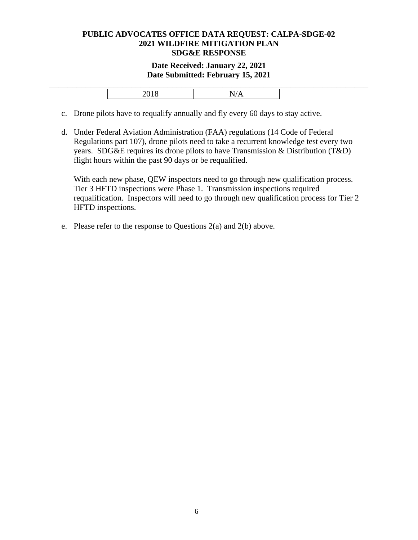#### **Date Received: January 22, 2021 Date Submitted: February 15, 2021**

- c. Drone pilots have to requalify annually and fly every 60 days to stay active.
- d. Under Federal Aviation Administration (FAA) regulations (14 Code of Federal Regulations part 107), drone pilots need to take a recurrent knowledge test every two years. SDG&E requires its drone pilots to have Transmission & Distribution (T&D) flight hours within the past 90 days or be requalified.

With each new phase, QEW inspectors need to go through new qualification process. Tier 3 HFTD inspections were Phase 1. Transmission inspections required requalification. Inspectors will need to go through new qualification process for Tier 2 HFTD inspections.

e. Please refer to the response to Questions 2(a) and 2(b) above.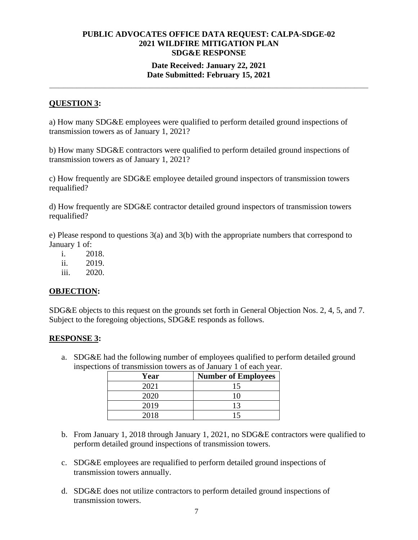## **Date Received: January 22, 2021 Date Submitted: February 15, 2021**

**\_\_\_\_\_\_\_\_\_\_\_\_\_\_\_\_\_\_\_\_\_\_\_\_\_\_\_\_\_\_\_\_\_\_\_\_\_\_\_\_\_\_\_\_\_\_\_\_\_\_\_\_\_\_\_\_\_\_\_\_\_\_\_\_\_\_\_\_\_\_** 

# **QUESTION 3:**

a) How many SDG&E employees were qualified to perform detailed ground inspections of transmission towers as of January 1, 2021?

b) How many SDG&E contractors were qualified to perform detailed ground inspections of transmission towers as of January 1, 2021?

c) How frequently are SDG&E employee detailed ground inspectors of transmission towers requalified?

d) How frequently are SDG&E contractor detailed ground inspectors of transmission towers requalified?

e) Please respond to questions 3(a) and 3(b) with the appropriate numbers that correspond to January 1 of:

- i. 2018.
- ii. 2019.
- iii. 2020.

## **OBJECTION:**

SDG&E objects to this request on the grounds set forth in General Objection Nos. 2, 4, 5, and 7. Subject to the foregoing objections, SDG&E responds as follows.

## **RESPONSE 3:**

a. SDG&E had the following number of employees qualified to perform detailed ground inspections of transmission towers as of January 1 of each year.

| Year | <b>Number of Employees</b> |
|------|----------------------------|
| 2021 | 15                         |
| 2020 |                            |
| 2019 | 13                         |
| 2018 |                            |

- b. From January 1, 2018 through January 1, 2021, no SDG&E contractors were qualified to perform detailed ground inspections of transmission towers.
- c. SDG&E employees are requalified to perform detailed ground inspections of transmission towers annually.
- d. SDG&E does not utilize contractors to perform detailed ground inspections of transmission towers.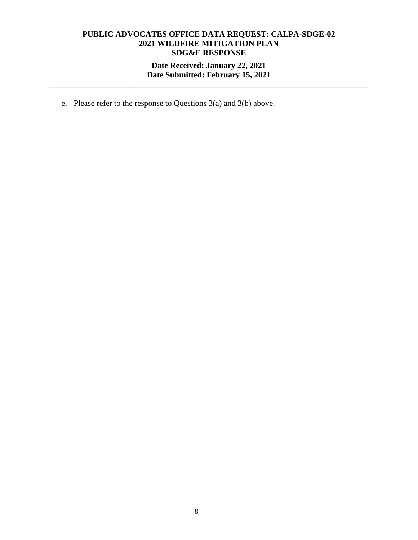# **Date Received: January 22, 2021 Date Submitted: February 15, 2021**

**\_\_\_\_\_\_\_\_\_\_\_\_\_\_\_\_\_\_\_\_\_\_\_\_\_\_\_\_\_\_\_\_\_\_\_\_\_\_\_\_\_\_\_\_\_\_\_\_\_\_\_\_\_\_\_\_\_\_\_\_\_\_\_\_\_\_\_\_\_\_** 

e. Please refer to the response to Questions 3(a) and 3(b) above.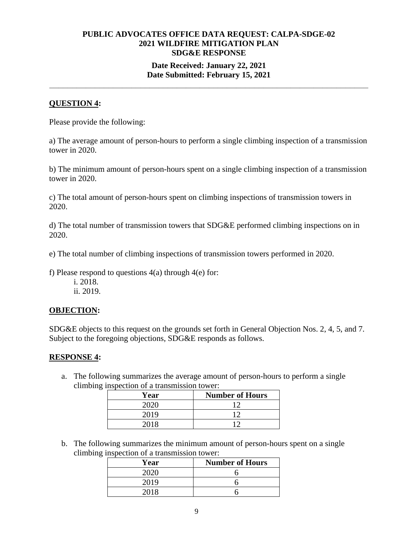## **Date Received: January 22, 2021 Date Submitted: February 15, 2021**

**\_\_\_\_\_\_\_\_\_\_\_\_\_\_\_\_\_\_\_\_\_\_\_\_\_\_\_\_\_\_\_\_\_\_\_\_\_\_\_\_\_\_\_\_\_\_\_\_\_\_\_\_\_\_\_\_\_\_\_\_\_\_\_\_\_\_\_\_\_\_** 

## **QUESTION 4:**

Please provide the following:

a) The average amount of person-hours to perform a single climbing inspection of a transmission tower in 2020.

b) The minimum amount of person-hours spent on a single climbing inspection of a transmission tower in 2020.

c) The total amount of person-hours spent on climbing inspections of transmission towers in 2020.

d) The total number of transmission towers that SDG&E performed climbing inspections on in 2020.

e) The total number of climbing inspections of transmission towers performed in 2020.

f) Please respond to questions  $4(a)$  through  $4(e)$  for:

i. 2018. ii. 2019.

#### **OBJECTION:**

SDG&E objects to this request on the grounds set forth in General Objection Nos. 2, 4, 5, and 7. Subject to the foregoing objections, SDG&E responds as follows.

#### **RESPONSE 4:**

a. The following summarizes the average amount of person-hours to perform a single climbing inspection of a transmission tower:

| Year | <b>Number of Hours</b> |
|------|------------------------|
| 2020 |                        |
| 2019 | 1 ິ                    |
| 2018 | ۱η                     |

b. The following summarizes the minimum amount of person-hours spent on a single climbing inspection of a transmission tower:

| Year | <b>Number of Hours</b> |
|------|------------------------|
|      |                        |
| 2019 |                        |
|      |                        |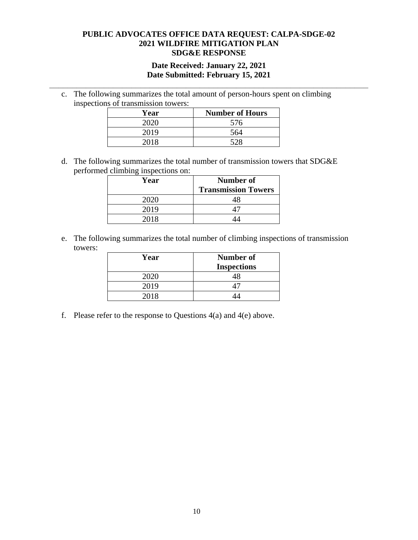### **Date Received: January 22, 2021 Date Submitted: February 15, 2021**

**\_\_\_\_\_\_\_\_\_\_\_\_\_\_\_\_\_\_\_\_\_\_\_\_\_\_\_\_\_\_\_\_\_\_\_\_\_\_\_\_\_\_\_\_\_\_\_\_\_\_\_\_\_\_\_\_\_\_\_\_\_\_\_\_\_\_\_\_\_\_** 

c. The following summarizes the total amount of person-hours spent on climbing inspections of transmission towers:

| Year | <b>Number of Hours</b> |
|------|------------------------|
| 2020 | 576                    |
| 2019 | 564                    |
| 2018 | 528                    |

d. The following summarizes the total number of transmission towers that SDG&E performed climbing inspections on:

| Year | <b>Number of</b>           |
|------|----------------------------|
|      | <b>Transmission Towers</b> |
| 2020 |                            |
| 2019 |                            |
| 2018 |                            |

e. The following summarizes the total number of climbing inspections of transmission towers:

| Year | <b>Number of</b><br><b>Inspections</b> |
|------|----------------------------------------|
| 2020 |                                        |
| 2019 |                                        |
| 2018 |                                        |

f. Please refer to the response to Questions  $4(a)$  and  $4(e)$  above.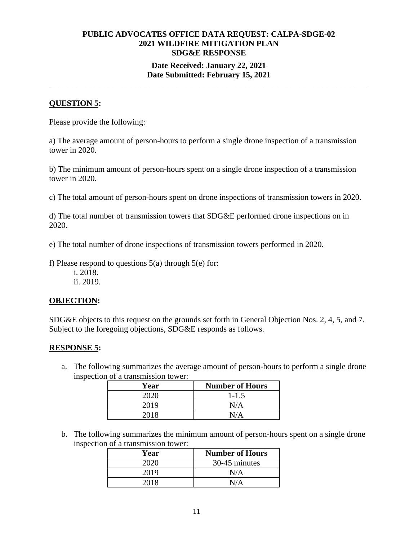## **Date Received: January 22, 2021 Date Submitted: February 15, 2021**

**\_\_\_\_\_\_\_\_\_\_\_\_\_\_\_\_\_\_\_\_\_\_\_\_\_\_\_\_\_\_\_\_\_\_\_\_\_\_\_\_\_\_\_\_\_\_\_\_\_\_\_\_\_\_\_\_\_\_\_\_\_\_\_\_\_\_\_\_\_\_** 

# **QUESTION 5:**

Please provide the following:

a) The average amount of person-hours to perform a single drone inspection of a transmission tower in 2020.

b) The minimum amount of person-hours spent on a single drone inspection of a transmission tower in 2020.

c) The total amount of person-hours spent on drone inspections of transmission towers in 2020.

d) The total number of transmission towers that SDG&E performed drone inspections on in 2020.

e) The total number of drone inspections of transmission towers performed in 2020.

f) Please respond to questions  $5(a)$  through  $5(e)$  for:

i. 2018.

ii. 2019.

## **OBJECTION:**

SDG&E objects to this request on the grounds set forth in General Objection Nos. 2, 4, 5, and 7. Subject to the foregoing objections, SDG&E responds as follows.

## **RESPONSE 5:**

a. The following summarizes the average amount of person-hours to perform a single drone inspection of a transmission tower:

| Year | <b>Number of Hours</b> |
|------|------------------------|
|      | $1 - 1.5$              |
| 2019 | N/A                    |
|      |                        |

b. The following summarizes the minimum amount of person-hours spent on a single drone inspection of a transmission tower:

| Year | <b>Number of Hours</b> |
|------|------------------------|
| 2020 | 30-45 minutes          |
| 2019 | N/A                    |
| 2018 |                        |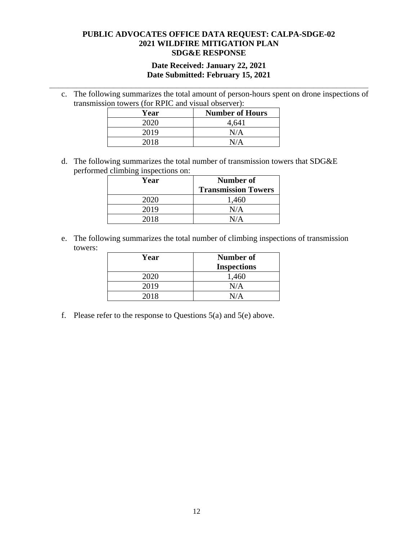### **Date Received: January 22, 2021 Date Submitted: February 15, 2021**

**\_\_\_\_\_\_\_\_\_\_\_\_\_\_\_\_\_\_\_\_\_\_\_\_\_\_\_\_\_\_\_\_\_\_\_\_\_\_\_\_\_\_\_\_\_\_\_\_\_\_\_\_\_\_\_\_\_\_\_\_\_\_\_\_\_\_\_\_\_\_** 

c. The following summarizes the total amount of person-hours spent on drone inspections of transmission towers (for RPIC and visual observer):

| Year | <b>Number of Hours</b> |
|------|------------------------|
| 2020 | 4,641                  |
| 2019 | N/A                    |
| 2018 | $N/\Delta$             |

d. The following summarizes the total number of transmission towers that SDG&E performed climbing inspections on:

| Year | Number of                  |
|------|----------------------------|
|      | <b>Transmission Towers</b> |
| 2020 | 1,460                      |
| 2019 | N/A                        |
| 2018 |                            |

e. The following summarizes the total number of climbing inspections of transmission towers:

| Year | <b>Number of</b><br><b>Inspections</b> |
|------|----------------------------------------|
| 2020 | 1,460                                  |
| 2019 | N/A                                    |
| 2018 | N/A                                    |

f. Please refer to the response to Questions 5(a) and 5(e) above.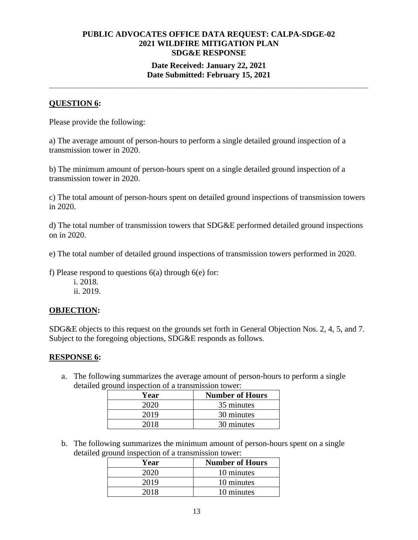## **Date Received: January 22, 2021 Date Submitted: February 15, 2021**

**\_\_\_\_\_\_\_\_\_\_\_\_\_\_\_\_\_\_\_\_\_\_\_\_\_\_\_\_\_\_\_\_\_\_\_\_\_\_\_\_\_\_\_\_\_\_\_\_\_\_\_\_\_\_\_\_\_\_\_\_\_\_\_\_\_\_\_\_\_\_** 

# **QUESTION 6:**

Please provide the following:

a) The average amount of person-hours to perform a single detailed ground inspection of a transmission tower in 2020.

b) The minimum amount of person-hours spent on a single detailed ground inspection of a transmission tower in 2020.

c) The total amount of person-hours spent on detailed ground inspections of transmission towers in 2020.

d) The total number of transmission towers that SDG&E performed detailed ground inspections on in 2020.

e) The total number of detailed ground inspections of transmission towers performed in 2020.

f) Please respond to questions  $6(a)$  through  $6(e)$  for:

i. 2018. ii. 2019.

## **OBJECTION:**

SDG&E objects to this request on the grounds set forth in General Objection Nos. 2, 4, 5, and 7. Subject to the foregoing objections, SDG&E responds as follows.

## **RESPONSE 6:**

a. The following summarizes the average amount of person-hours to perform a single detailed ground inspection of a transmission tower:

| Year | <b>Number of Hours</b> |
|------|------------------------|
| 2020 | 35 minutes             |
| 2019 | 30 minutes             |
| 2018 | 30 minutes             |

b. The following summarizes the minimum amount of person-hours spent on a single detailed ground inspection of a transmission tower:

| Year | <b>Number of Hours</b> |
|------|------------------------|
| 2020 | 10 minutes             |
| 2019 | 10 minutes             |
| 2018 | 10 minutes             |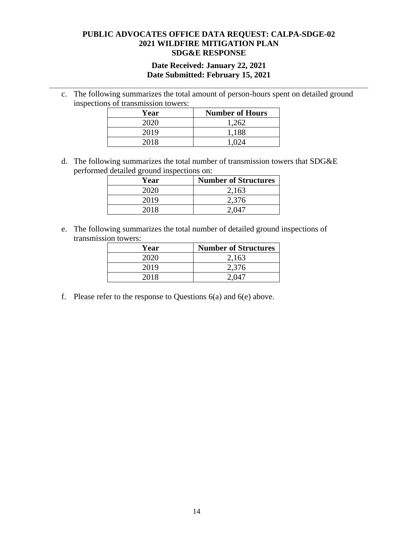### **Date Received: January 22, 2021 Date Submitted: February 15, 2021**

**\_\_\_\_\_\_\_\_\_\_\_\_\_\_\_\_\_\_\_\_\_\_\_\_\_\_\_\_\_\_\_\_\_\_\_\_\_\_\_\_\_\_\_\_\_\_\_\_\_\_\_\_\_\_\_\_\_\_\_\_\_\_\_\_\_\_\_\_\_\_** 

c. The following summarizes the total amount of person-hours spent on detailed ground inspections of transmission towers:

| Year | <b>Number of Hours</b> |
|------|------------------------|
| 2020 | 1,262                  |
| 2019 | 1,188                  |
| 2018 | 1.024                  |

d. The following summarizes the total number of transmission towers that SDG&E performed detailed ground inspections on:

| Year | <b>Number of Structures</b> |
|------|-----------------------------|
| 2020 | 2,163                       |
| 2019 | 2,376                       |
| 2018 | 2 Q4'                       |

e. The following summarizes the total number of detailed ground inspections of transmission towers:

| Year | <b>Number of Structures</b> |
|------|-----------------------------|
| 2020 | 2,163                       |
| 2019 | 2,376                       |
| 2018 |                             |

f. Please refer to the response to Questions  $6(a)$  and  $6(e)$  above.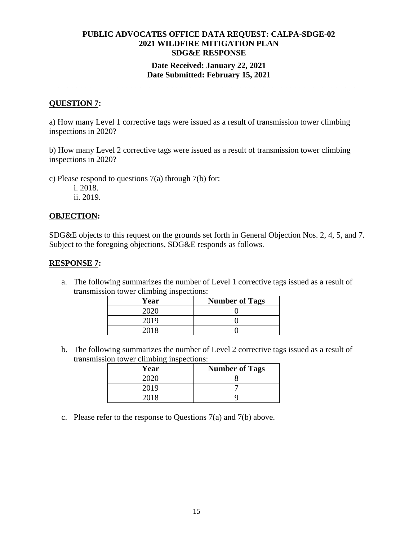## **Date Received: January 22, 2021 Date Submitted: February 15, 2021**

**\_\_\_\_\_\_\_\_\_\_\_\_\_\_\_\_\_\_\_\_\_\_\_\_\_\_\_\_\_\_\_\_\_\_\_\_\_\_\_\_\_\_\_\_\_\_\_\_\_\_\_\_\_\_\_\_\_\_\_\_\_\_\_\_\_\_\_\_\_\_** 

## **QUESTION 7:**

a) How many Level 1 corrective tags were issued as a result of transmission tower climbing inspections in 2020?

b) How many Level 2 corrective tags were issued as a result of transmission tower climbing inspections in 2020?

c) Please respond to questions 7(a) through 7(b) for:

i. 2018. ii. 2019.

#### **OBJECTION:**

SDG&E objects to this request on the grounds set forth in General Objection Nos. 2, 4, 5, and 7. Subject to the foregoing objections, SDG&E responds as follows.

#### **RESPONSE 7:**

a. The following summarizes the number of Level 1 corrective tags issued as a result of transmission tower climbing inspections:

| Year | <b>Number of Tags</b> |
|------|-----------------------|
| 2020 |                       |
| 2019 |                       |
| 2018 |                       |

b. The following summarizes the number of Level 2 corrective tags issued as a result of transmission tower climbing inspections:

| Year | <b>Number of Tags</b> |
|------|-----------------------|
| շտշո |                       |
| 2019 |                       |
| 2018 |                       |

c. Please refer to the response to Questions 7(a) and 7(b) above.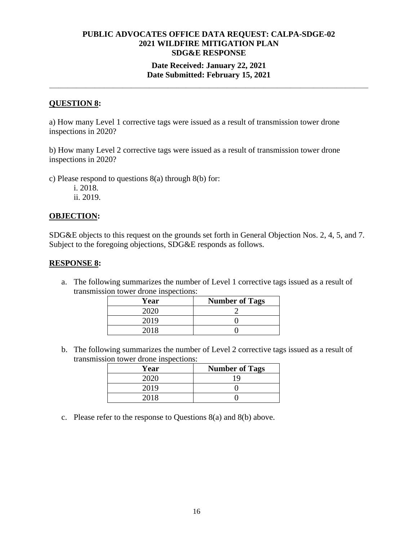## **Date Received: January 22, 2021 Date Submitted: February 15, 2021**

**\_\_\_\_\_\_\_\_\_\_\_\_\_\_\_\_\_\_\_\_\_\_\_\_\_\_\_\_\_\_\_\_\_\_\_\_\_\_\_\_\_\_\_\_\_\_\_\_\_\_\_\_\_\_\_\_\_\_\_\_\_\_\_\_\_\_\_\_\_\_** 

## **QUESTION 8:**

a) How many Level 1 corrective tags were issued as a result of transmission tower drone inspections in 2020?

b) How many Level 2 corrective tags were issued as a result of transmission tower drone inspections in 2020?

c) Please respond to questions 8(a) through 8(b) for:

i. 2018. ii. 2019.

#### **OBJECTION:**

SDG&E objects to this request on the grounds set forth in General Objection Nos. 2, 4, 5, and 7. Subject to the foregoing objections, SDG&E responds as follows.

#### **RESPONSE 8:**

a. The following summarizes the number of Level 1 corrective tags issued as a result of transmission tower drone inspections:

| Year        | <b>Number of Tags</b> |
|-------------|-----------------------|
| <u>ാറാറ</u> |                       |
| 2019        |                       |
| 201 R       |                       |

b. The following summarizes the number of Level 2 corrective tags issued as a result of transmission tower drone inspections:

| Year | <b>Number of Tags</b> |
|------|-----------------------|
| 2020 | 1 Q                   |
| 2019 |                       |
| 2018 |                       |

c. Please refer to the response to Questions 8(a) and 8(b) above.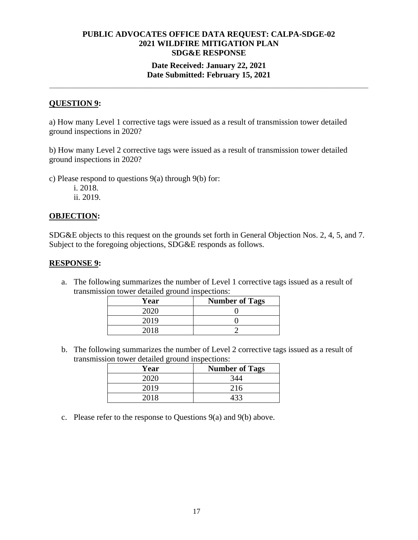## **Date Received: January 22, 2021 Date Submitted: February 15, 2021**

**\_\_\_\_\_\_\_\_\_\_\_\_\_\_\_\_\_\_\_\_\_\_\_\_\_\_\_\_\_\_\_\_\_\_\_\_\_\_\_\_\_\_\_\_\_\_\_\_\_\_\_\_\_\_\_\_\_\_\_\_\_\_\_\_\_\_\_\_\_\_** 

## **QUESTION 9:**

a) How many Level 1 corrective tags were issued as a result of transmission tower detailed ground inspections in 2020?

b) How many Level 2 corrective tags were issued as a result of transmission tower detailed ground inspections in 2020?

c) Please respond to questions 9(a) through 9(b) for:

i. 2018. ii. 2019.

#### **OBJECTION:**

SDG&E objects to this request on the grounds set forth in General Objection Nos. 2, 4, 5, and 7. Subject to the foregoing objections, SDG&E responds as follows.

#### **RESPONSE 9:**

a. The following summarizes the number of Level 1 corrective tags issued as a result of transmission tower detailed ground inspections:

| Year | <b>Number of Tags</b> |
|------|-----------------------|
| ാറാല |                       |
| 2019 |                       |
|      |                       |

b. The following summarizes the number of Level 2 corrective tags issued as a result of transmission tower detailed ground inspections:

| Year | <b>Number of Tags</b> |
|------|-----------------------|
|      | 344                   |
| 2019 | 216                   |
| 2018 |                       |

c. Please refer to the response to Questions 9(a) and 9(b) above.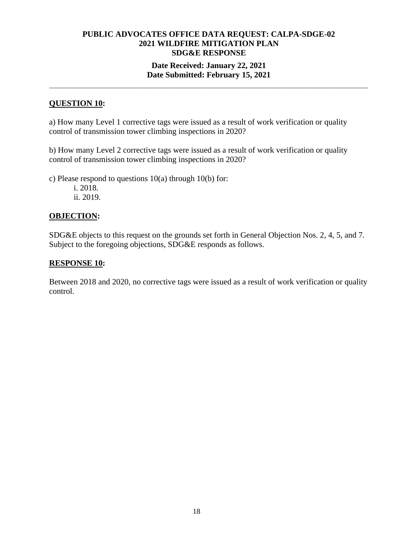## **Date Received: January 22, 2021 Date Submitted: February 15, 2021**

**\_\_\_\_\_\_\_\_\_\_\_\_\_\_\_\_\_\_\_\_\_\_\_\_\_\_\_\_\_\_\_\_\_\_\_\_\_\_\_\_\_\_\_\_\_\_\_\_\_\_\_\_\_\_\_\_\_\_\_\_\_\_\_\_\_\_\_\_\_\_** 

## **QUESTION 10:**

a) How many Level 1 corrective tags were issued as a result of work verification or quality control of transmission tower climbing inspections in 2020?

b) How many Level 2 corrective tags were issued as a result of work verification or quality control of transmission tower climbing inspections in 2020?

c) Please respond to questions 10(a) through 10(b) for:

i. 2018. ii. 2019.

## **OBJECTION:**

SDG&E objects to this request on the grounds set forth in General Objection Nos. 2, 4, 5, and 7. Subject to the foregoing objections, SDG&E responds as follows.

## **RESPONSE 10:**

Between 2018 and 2020, no corrective tags were issued as a result of work verification or quality control.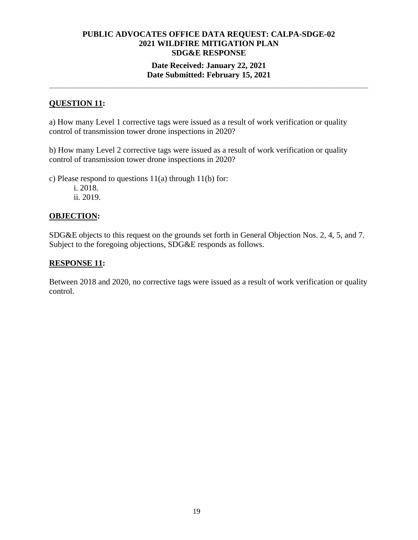## **Date Received: January 22, 2021 Date Submitted: February 15, 2021**

**\_\_\_\_\_\_\_\_\_\_\_\_\_\_\_\_\_\_\_\_\_\_\_\_\_\_\_\_\_\_\_\_\_\_\_\_\_\_\_\_\_\_\_\_\_\_\_\_\_\_\_\_\_\_\_\_\_\_\_\_\_\_\_\_\_\_\_\_\_\_** 

# **QUESTION 11:**

a) How many Level 1 corrective tags were issued as a result of work verification or quality control of transmission tower drone inspections in 2020?

b) How many Level 2 corrective tags were issued as a result of work verification or quality control of transmission tower drone inspections in 2020?

c) Please respond to questions 11(a) through 11(b) for:

i. 2018. ii. 2019.

## **OBJECTION:**

SDG&E objects to this request on the grounds set forth in General Objection Nos. 2, 4, 5, and 7. Subject to the foregoing objections, SDG&E responds as follows.

## **RESPONSE 11:**

Between 2018 and 2020, no corrective tags were issued as a result of work verification or quality control.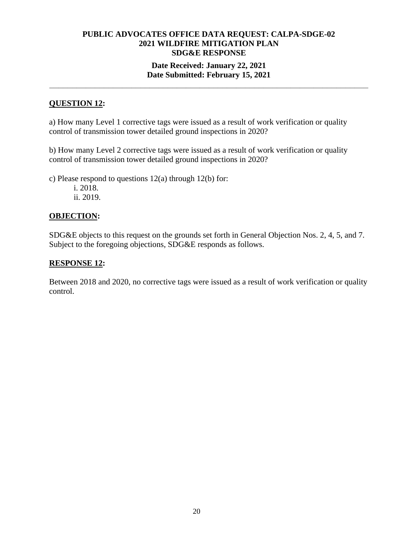## **Date Received: January 22, 2021 Date Submitted: February 15, 2021**

**\_\_\_\_\_\_\_\_\_\_\_\_\_\_\_\_\_\_\_\_\_\_\_\_\_\_\_\_\_\_\_\_\_\_\_\_\_\_\_\_\_\_\_\_\_\_\_\_\_\_\_\_\_\_\_\_\_\_\_\_\_\_\_\_\_\_\_\_\_\_** 

# **QUESTION 12:**

a) How many Level 1 corrective tags were issued as a result of work verification or quality control of transmission tower detailed ground inspections in 2020?

b) How many Level 2 corrective tags were issued as a result of work verification or quality control of transmission tower detailed ground inspections in 2020?

c) Please respond to questions 12(a) through 12(b) for:

i. 2018. ii. 2019.

## **OBJECTION:**

SDG&E objects to this request on the grounds set forth in General Objection Nos. 2, 4, 5, and 7. Subject to the foregoing objections, SDG&E responds as follows.

## **RESPONSE 12:**

Between 2018 and 2020, no corrective tags were issued as a result of work verification or quality control.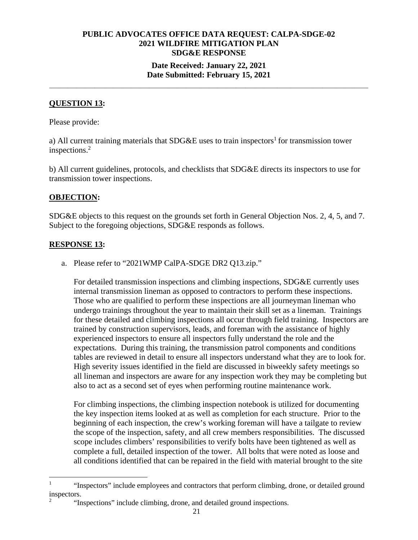## **Date Received: January 22, 2021 Date Submitted: February 15, 2021**

**\_\_\_\_\_\_\_\_\_\_\_\_\_\_\_\_\_\_\_\_\_\_\_\_\_\_\_\_\_\_\_\_\_\_\_\_\_\_\_\_\_\_\_\_\_\_\_\_\_\_\_\_\_\_\_\_\_\_\_\_\_\_\_\_\_\_\_\_\_\_** 

# **QUESTION 13:**

Please provide:

a) All current training materials that  $SDG&E$  uses to train inspectors<sup>1</sup> for transmission tower inspections.2

b) All current guidelines, protocols, and checklists that SDG&E directs its inspectors to use for transmission tower inspections.

## **OBJECTION:**

SDG&E objects to this request on the grounds set forth in General Objection Nos. 2, 4, 5, and 7. Subject to the foregoing objections, SDG&E responds as follows.

## **RESPONSE 13:**

a. Please refer to "2021WMP CalPA-SDGE DR2 Q13.zip."

For detailed transmission inspections and climbing inspections, SDG&E currently uses internal transmission lineman as opposed to contractors to perform these inspections. Those who are qualified to perform these inspections are all journeyman lineman who undergo trainings throughout the year to maintain their skill set as a lineman. Trainings for these detailed and climbing inspections all occur through field training. Inspectors are trained by construction supervisors, leads, and foreman with the assistance of highly experienced inspectors to ensure all inspectors fully understand the role and the expectations. During this training, the transmission patrol components and conditions tables are reviewed in detail to ensure all inspectors understand what they are to look for. High severity issues identified in the field are discussed in biweekly safety meetings so all lineman and inspectors are aware for any inspection work they may be completing but also to act as a second set of eyes when performing routine maintenance work.

For climbing inspections, the climbing inspection notebook is utilized for documenting the key inspection items looked at as well as completion for each structure. Prior to the beginning of each inspection, the crew's working foreman will have a tailgate to review the scope of the inspection, safety, and all crew members responsibilities. The discussed scope includes climbers' responsibilities to verify bolts have been tightened as well as complete a full, detailed inspection of the tower. All bolts that were noted as loose and all conditions identified that can be repaired in the field with material brought to the site

<sup>1</sup> "Inspectors" include employees and contractors that perform climbing, drone, or detailed ground inspectors.

<sup>2</sup> "Inspections" include climbing, drone, and detailed ground inspections.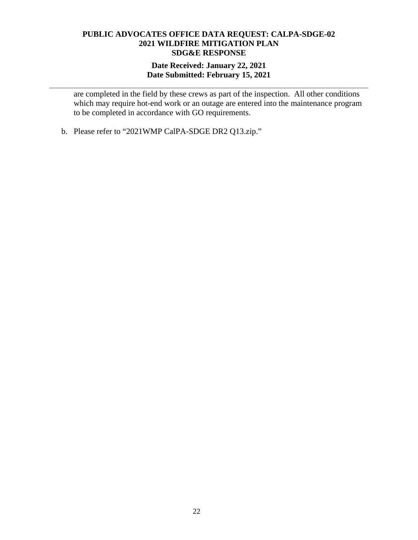## **Date Received: January 22, 2021 Date Submitted: February 15, 2021**

**\_\_\_\_\_\_\_\_\_\_\_\_\_\_\_\_\_\_\_\_\_\_\_\_\_\_\_\_\_\_\_\_\_\_\_\_\_\_\_\_\_\_\_\_\_\_\_\_\_\_\_\_\_\_\_\_\_\_\_\_\_\_\_\_\_\_\_\_\_\_** 

are completed in the field by these crews as part of the inspection. All other conditions which may require hot-end work or an outage are entered into the maintenance program to be completed in accordance with GO requirements.

b. Please refer to "2021WMP CalPA-SDGE DR2 Q13.zip."